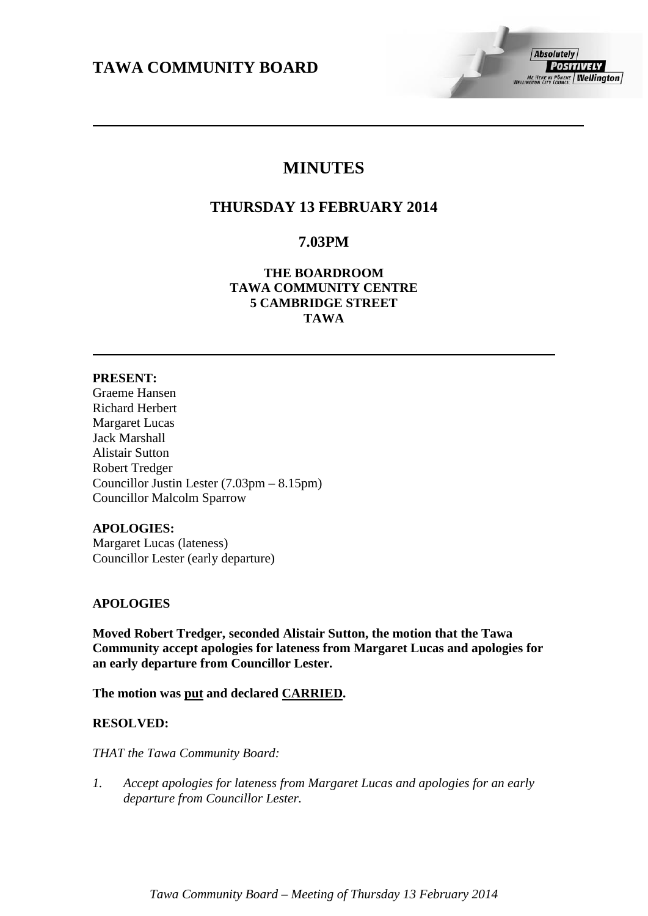# **MINUTES**

# **THURSDAY 13 FEBRUARY 2014**

# **7.03PM**

## **THE BOARDROOM TAWA COMMUNITY CENTRE 5 CAMBRIDGE STREET TAWA**

## **PRESENT:**

Graeme Hansen Richard Herbert Margaret Lucas Jack Marshall Alistair Sutton Robert Tredger Councillor Justin Lester (7.03pm – 8.15pm) Councillor Malcolm Sparrow

## **APOLOGIES:**

Margaret Lucas (lateness) Councillor Lester (early departure)

## **APOLOGIES**

**Moved Robert Tredger, seconded Alistair Sutton, the motion that the Tawa Community accept apologies for lateness from Margaret Lucas and apologies for an early departure from Councillor Lester.**

**The motion was put and declared CARRIED.**

## **RESOLVED:**

*THAT the Tawa Community Board:*

*1. Accept apologies for lateness from Margaret Lucas and apologies for an early departure from Councillor Lester.*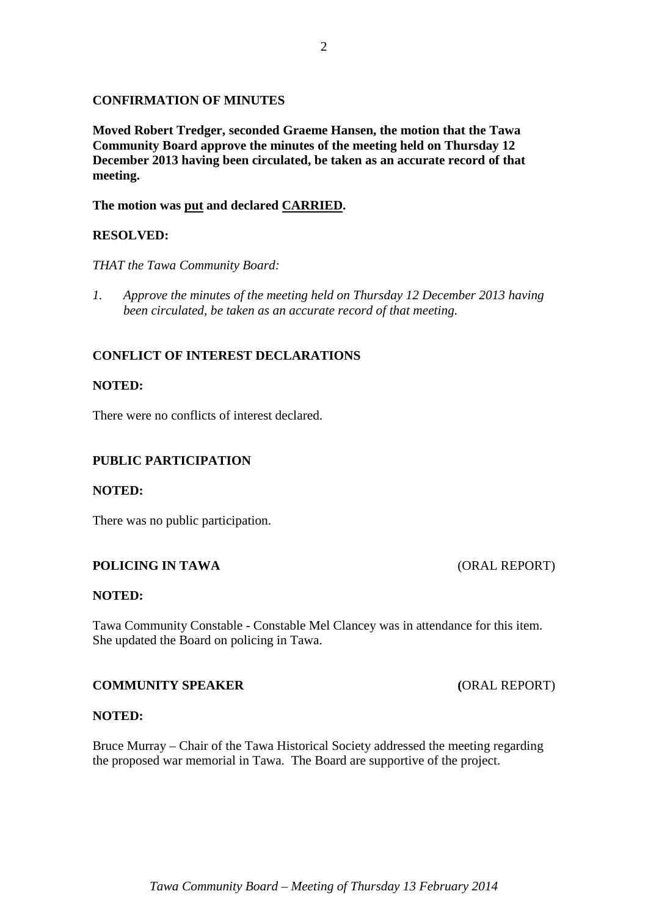## **CONFIRMATION OF MINUTES**

**Moved Robert Tredger, seconded Graeme Hansen, the motion that the Tawa Community Board approve the minutes of the meeting held on Thursday 12 December 2013 having been circulated, be taken as an accurate record of that meeting.**

**The motion was put and declared CARRIED.**

## **RESOLVED:**

*THAT the Tawa Community Board:*

*1. Approve the minutes of the meeting held on Thursday 12 December 2013 having been circulated, be taken as an accurate record of that meeting.*

## **CONFLICT OF INTEREST DECLARATIONS**

## **NOTED:**

There were no conflicts of interest declared.

## **PUBLIC PARTICIPATION**

#### **NOTED:**

There was no public participation.

## **POLICING IN TAWA** (ORAL REPORT)

#### **NOTED:**

Tawa Community Constable - Constable Mel Clancey was in attendance for this item. She updated the Board on policing in Tawa.

## **COMMUNITY SPEAKER (**ORAL REPORT)

#### **NOTED:**

Bruce Murray – Chair of the Tawa Historical Society addressed the meeting regarding the proposed war memorial in Tawa. The Board are supportive of the project.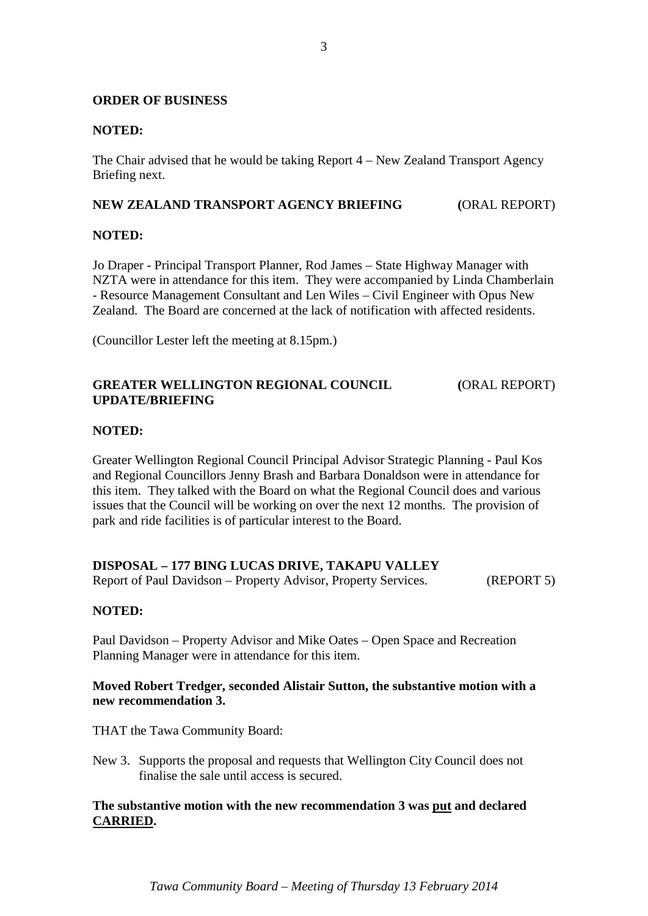## **ORDER OF BUSINESS**

## **NOTED:**

The Chair advised that he would be taking Report 4 – New Zealand Transport Agency Briefing next.

## **NEW ZEALAND TRANSPORT AGENCY BRIEFING (**ORAL REPORT)

## **NOTED:**

Jo Draper - Principal Transport Planner, Rod James – State Highway Manager with NZTA were in attendance for this item. They were accompanied by Linda Chamberlain - Resource Management Consultant and Len Wiles – Civil Engineer with Opus New Zealand. The Board are concerned at the lack of notification with affected residents.

(Councillor Lester left the meeting at 8.15pm.)

## **GREATER WELLINGTON REGIONAL COUNCIL (**ORAL REPORT) **UPDATE/BRIEFING**

## **NOTED:**

Greater Wellington Regional Council Principal Advisor Strategic Planning - Paul Kos and Regional Councillors Jenny Brash and Barbara Donaldson were in attendance for this item. They talked with the Board on what the Regional Council does and various issues that the Council will be working on over the next 12 months. The provision of park and ride facilities is of particular interest to the Board.

## **DISPOSAL – 177 BING LUCAS DRIVE, TAKAPU VALLEY**

Report of Paul Davidson – Property Advisor, Property Services. (REPORT 5)

## **NOTED:**

Paul Davidson – Property Advisor and Mike Oates – Open Space and Recreation Planning Manager were in attendance for this item.

## **Moved Robert Tredger, seconded Alistair Sutton, the substantive motion with a new recommendation 3.**

THAT the Tawa Community Board:

New 3. Supports the proposal and requests that Wellington City Council does not finalise the sale until access is secured.

## **The substantive motion with the new recommendation 3 was put and declared CARRIED.**

*Tawa Community Board – Meeting of Thursday 13 February 2014*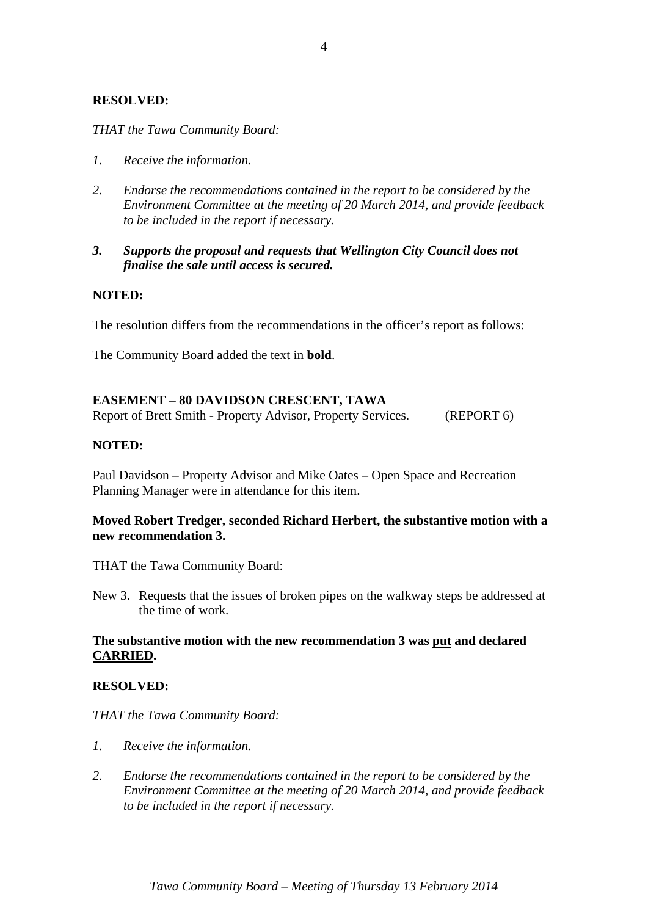## **RESOLVED:**

*THAT the Tawa Community Board:*

- *1. Receive the information.*
- *2. Endorse the recommendations contained in the report to be considered by the Environment Committee at the meeting of 20 March 2014, and provide feedback to be included in the report if necessary.*
- *3. Supports the proposal and requests that Wellington City Council does not finalise the sale until access is secured.*

## **NOTED:**

The resolution differs from the recommendations in the officer's report as follows:

The Community Board added the text in **bold**.

## **EASEMENT – 80 DAVIDSON CRESCENT, TAWA**

Report of Brett Smith - Property Advisor, Property Services. (REPORT 6)

## **NOTED:**

Paul Davidson – Property Advisor and Mike Oates – Open Space and Recreation Planning Manager were in attendance for this item.

## **Moved Robert Tredger, seconded Richard Herbert, the substantive motion with a new recommendation 3.**

THAT the Tawa Community Board:

New 3. Requests that the issues of broken pipes on the walkway steps be addressed at the time of work.

## **The substantive motion with the new recommendation 3 was put and declared CARRIED.**

## **RESOLVED:**

*THAT the Tawa Community Board:*

- *1. Receive the information.*
- *2. Endorse the recommendations contained in the report to be considered by the Environment Committee at the meeting of 20 March 2014, and provide feedback to be included in the report if necessary.*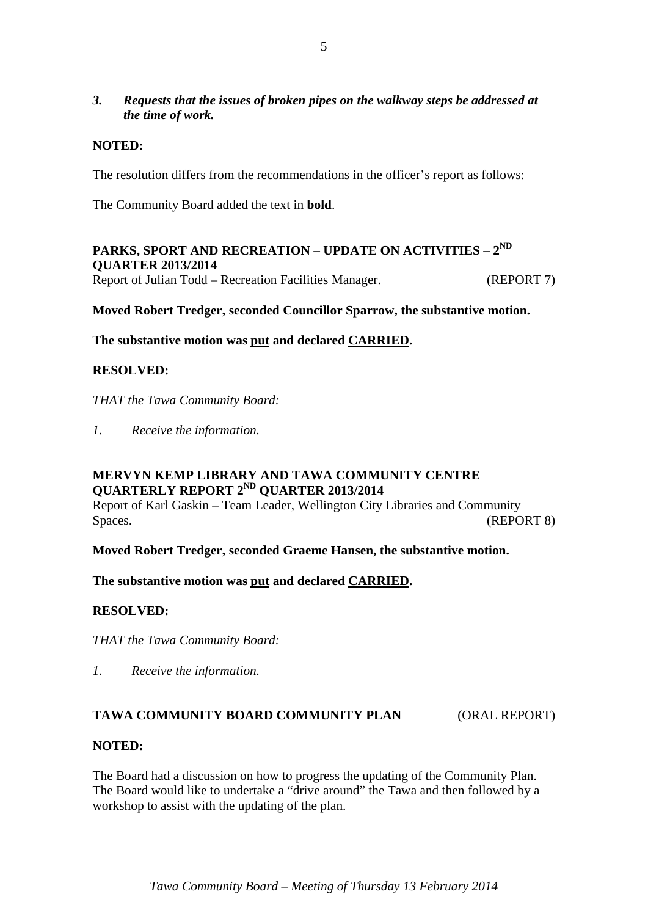## *3. Requests that the issues of broken pipes on the walkway steps be addressed at the time of work.*

## **NOTED:**

The resolution differs from the recommendations in the officer's report as follows:

The Community Board added the text in **bold**.

## **PARKS, SPORT AND RECREATION – UPDATE ON ACTIVITIES – 2ND QUARTER 2013/2014** Report of Julian Todd – Recreation Facilities Manager. (REPORT 7)

## **Moved Robert Tredger, seconded Councillor Sparrow, the substantive motion.**

**The substantive motion was put and declared CARRIED.**

## **RESOLVED:**

*THAT the Tawa Community Board:*

*1. Receive the information.*

## **MERVYN KEMP LIBRARY AND TAWA COMMUNITY CENTRE QUARTERLY REPORT 2ND QUARTER 2013/2014**

Report of Karl Gaskin – Team Leader, Wellington City Libraries and Community Spaces. (REPORT 8)

**Moved Robert Tredger, seconded Graeme Hansen, the substantive motion.**

**The substantive motion was put and declared CARRIED.**

## **RESOLVED:**

*THAT the Tawa Community Board:*

*1. Receive the information.*

## **TAWA COMMUNITY BOARD COMMUNITY PLAN** (ORAL REPORT)

## **NOTED:**

The Board had a discussion on how to progress the updating of the Community Plan. The Board would like to undertake a "drive around" the Tawa and then followed by a workshop to assist with the updating of the plan.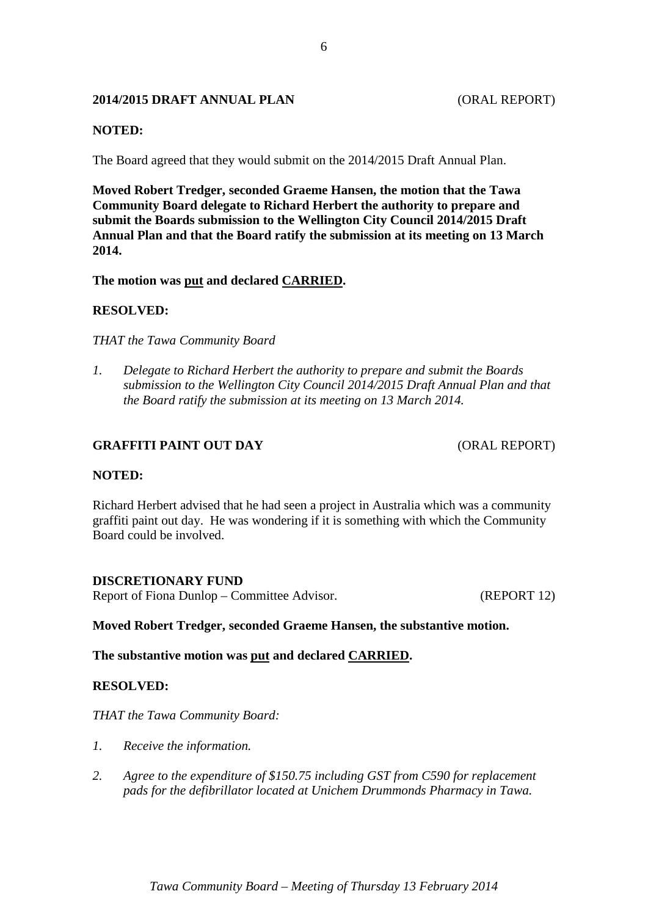## **2014/2015 DRAFT ANNUAL PLAN** (ORAL REPORT)

## **NOTED:**

The Board agreed that they would submit on the 2014/2015 Draft Annual Plan.

**Moved Robert Tredger, seconded Graeme Hansen, the motion that the Tawa Community Board delegate to Richard Herbert the authority to prepare and submit the Boards submission to the Wellington City Council 2014/2015 Draft Annual Plan and that the Board ratify the submission at its meeting on 13 March 2014.**

#### **The motion was put and declared CARRIED.**

## **RESOLVED:**

*THAT the Tawa Community Board* 

*1. Delegate to Richard Herbert the authority to prepare and submit the Boards submission to the Wellington City Council 2014/2015 Draft Annual Plan and that the Board ratify the submission at its meeting on 13 March 2014.*

## **GRAFFITI PAINT OUT DAY** (ORAL REPORT)

#### **NOTED:**

Richard Herbert advised that he had seen a project in Australia which was a community graffiti paint out day. He was wondering if it is something with which the Community Board could be involved.

#### **DISCRETIONARY FUND**

Report of Fiona Dunlop – Committee Advisor. (REPORT 12)

#### **Moved Robert Tredger, seconded Graeme Hansen, the substantive motion.**

**The substantive motion was put and declared CARRIED.**

## **RESOLVED:**

*THAT the Tawa Community Board:*

- *1. Receive the information.*
- *2. Agree to the expenditure of \$150.75 including GST from C590 for replacement pads for the defibrillator located at Unichem Drummonds Pharmacy in Tawa.*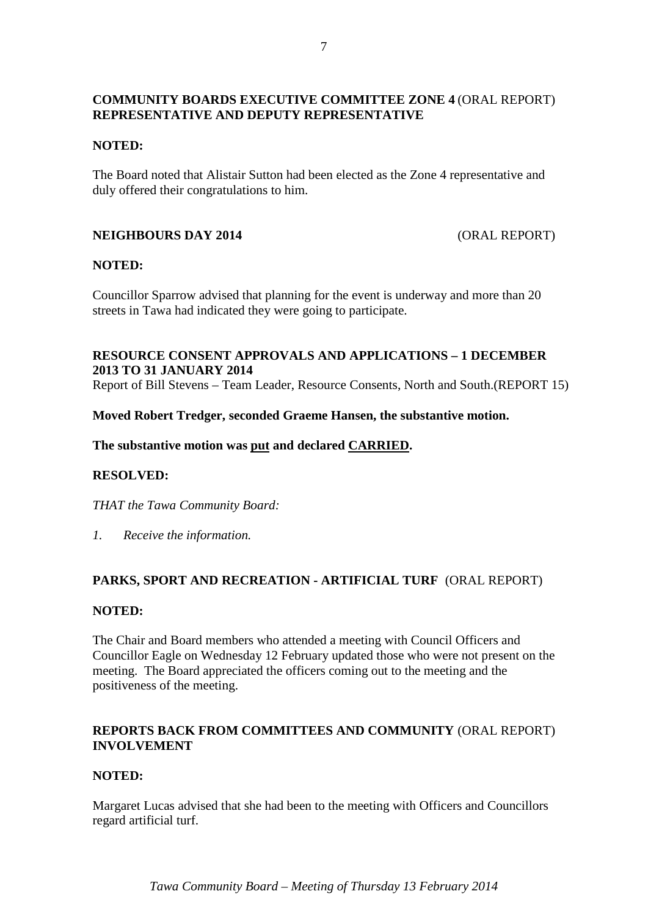## **COMMUNITY BOARDS EXECUTIVE COMMITTEE ZONE 4** (ORAL REPORT) **REPRESENTATIVE AND DEPUTY REPRESENTATIVE**

## **NOTED:**

The Board noted that Alistair Sutton had been elected as the Zone 4 representative and duly offered their congratulations to him.

## **NEIGHBOURS DAY 2014** (ORAL REPORT)

## **NOTED:**

Councillor Sparrow advised that planning for the event is underway and more than 20 streets in Tawa had indicated they were going to participate.

## **RESOURCE CONSENT APPROVALS AND APPLICATIONS – 1 DECEMBER 2013 TO 31 JANUARY 2014**

Report of Bill Stevens – Team Leader, Resource Consents, North and South.(REPORT 15)

## **Moved Robert Tredger, seconded Graeme Hansen, the substantive motion.**

## **The substantive motion was put and declared CARRIED.**

## **RESOLVED:**

*THAT the Tawa Community Board:*

*1. Receive the information.*

## **PARKS, SPORT AND RECREATION - ARTIFICIAL TURF** (ORAL REPORT)

#### **NOTED:**

The Chair and Board members who attended a meeting with Council Officers and Councillor Eagle on Wednesday 12 February updated those who were not present on the meeting. The Board appreciated the officers coming out to the meeting and the positiveness of the meeting.

## **REPORTS BACK FROM COMMITTEES AND COMMUNITY** (ORAL REPORT) **INVOLVEMENT**

## **NOTED:**

Margaret Lucas advised that she had been to the meeting with Officers and Councillors regard artificial turf.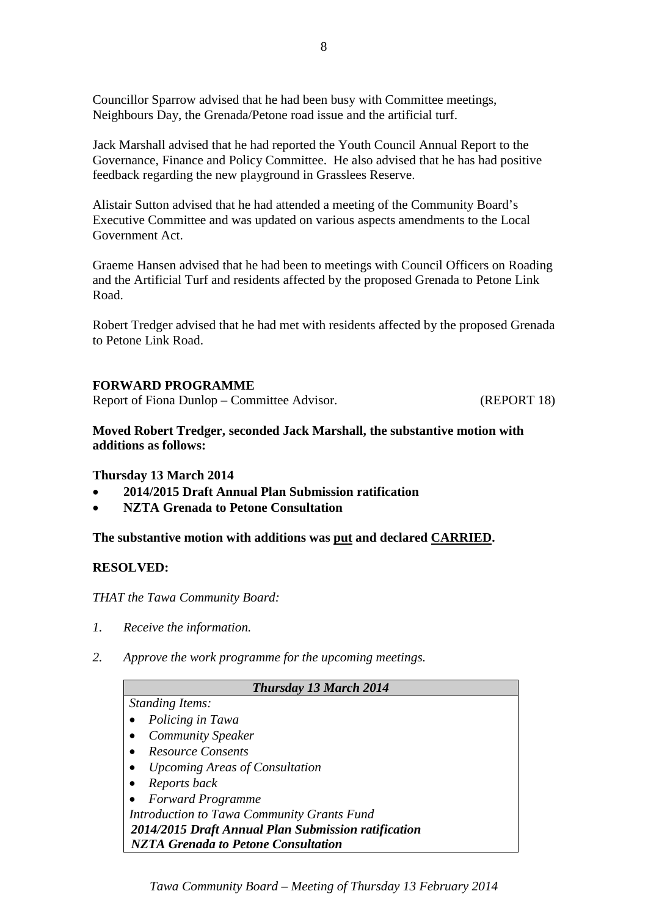Councillor Sparrow advised that he had been busy with Committee meetings, Neighbours Day, the Grenada/Petone road issue and the artificial turf.

Jack Marshall advised that he had reported the Youth Council Annual Report to the Governance, Finance and Policy Committee. He also advised that he has had positive feedback regarding the new playground in Grasslees Reserve.

Alistair Sutton advised that he had attended a meeting of the Community Board's Executive Committee and was updated on various aspects amendments to the Local Government Act.

Graeme Hansen advised that he had been to meetings with Council Officers on Roading and the Artificial Turf and residents affected by the proposed Grenada to Petone Link Road.

Robert Tredger advised that he had met with residents affected by the proposed Grenada to Petone Link Road.

## **FORWARD PROGRAMME**

Report of Fiona Dunlop – Committee Advisor. (REPORT 18)

**Moved Robert Tredger, seconded Jack Marshall, the substantive motion with additions as follows:**

## **Thursday 13 March 2014**

- **2014/2015 Draft Annual Plan Submission ratification**
- **NZTA Grenada to Petone Consultation**

**The substantive motion with additions was put and declared CARRIED.**

## **RESOLVED:**

*THAT the Tawa Community Board:*

- *1. Receive the information.*
- *2. Approve the work programme for the upcoming meetings.*

| <b>Thursday 13 March 2014</b>                       |
|-----------------------------------------------------|
| <b>Standing Items:</b>                              |
| Policing in Tawa                                    |
| <b>Community Speaker</b>                            |
| <b>Resource Consents</b>                            |
| <i><b>Upcoming Areas of Consultation</b></i>        |
| Reports back                                        |
| <b>Forward Programme</b>                            |
| Introduction to Tawa Community Grants Fund          |
| 2014/2015 Draft Annual Plan Submission ratification |
| <b>NZTA Grenada to Petone Consultation</b>          |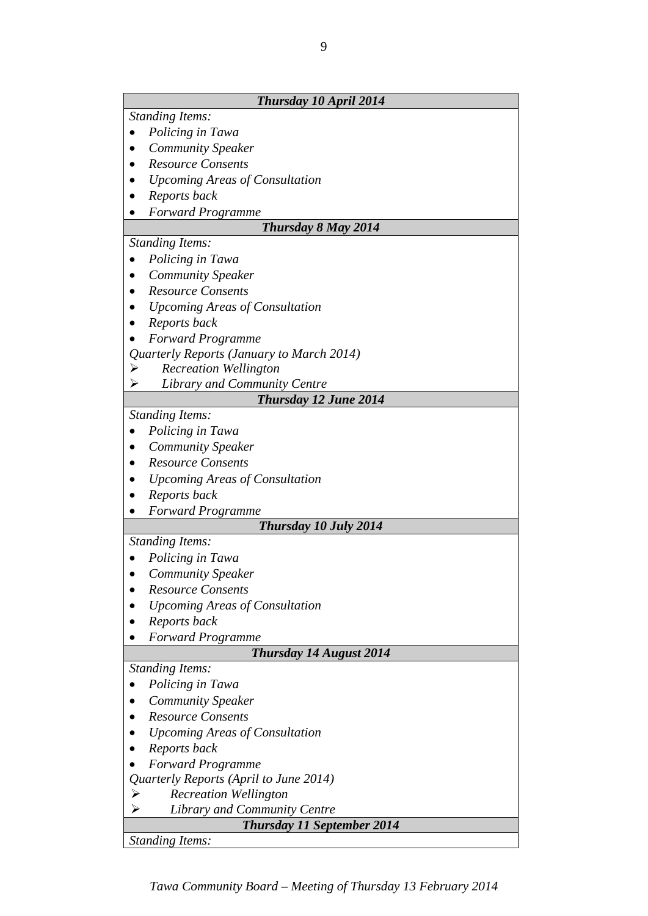| Thursday 10 April 2014                    |
|-------------------------------------------|
| <b>Standing Items:</b>                    |
| Policing in Tawa                          |
| <b>Community Speaker</b>                  |
| <b>Resource Consents</b>                  |
| <b>Upcoming Areas of Consultation</b>     |
| Reports back                              |
| <b>Forward Programme</b>                  |
| Thursday 8 May 2014                       |
| <b>Standing Items:</b>                    |
| Policing in Tawa                          |
| <b>Community Speaker</b>                  |
| <b>Resource Consents</b>                  |
| <b>Upcoming Areas of Consultation</b>     |
| Reports back                              |
| <b>Forward Programme</b>                  |
| Quarterly Reports (January to March 2014) |
| <b>Recreation Wellington</b><br>➤         |
| <b>Library and Community Centre</b><br>⋗  |
| Thursday 12 June 2014                     |
| <b>Standing Items:</b>                    |
| Policing in Tawa                          |
| <b>Community Speaker</b>                  |
| <b>Resource Consents</b>                  |
| <b>Upcoming Areas of Consultation</b>     |
| Reports back                              |
| <b>Forward Programme</b>                  |
| Thursday 10 July 2014                     |
| <b>Standing Items:</b>                    |
| Policing in Tawa                          |
| <b>Community Speaker</b>                  |
| <b>Resource Consents</b>                  |
| <b>Upcoming Areas of Consultation</b>     |
| Reports back                              |
| <b>Forward Programme</b>                  |
| <b>Thursday 14 August 2014</b>            |
| <b>Standing Items:</b>                    |
| Policing in Tawa                          |
| <b>Community Speaker</b>                  |
| <b>Resource Consents</b>                  |
| <b>Upcoming Areas of Consultation</b>     |
| Reports back                              |
| <b>Forward Programme</b>                  |
| Quarterly Reports (April to June 2014)    |
| <b>Recreation Wellington</b><br>≻         |
| Library and Community Centre              |
| <b>Thursday 11 September 2014</b>         |
| <b>Standing Items:</b>                    |